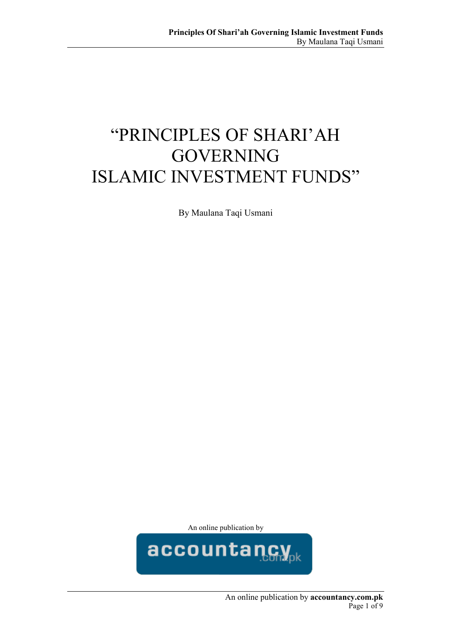# "PRINCIPLES OF SHARI'AH GOVERNING ISLAMIC INVESTMENT FUNDS"

By Maulana Taqi Usmani

An online publication by

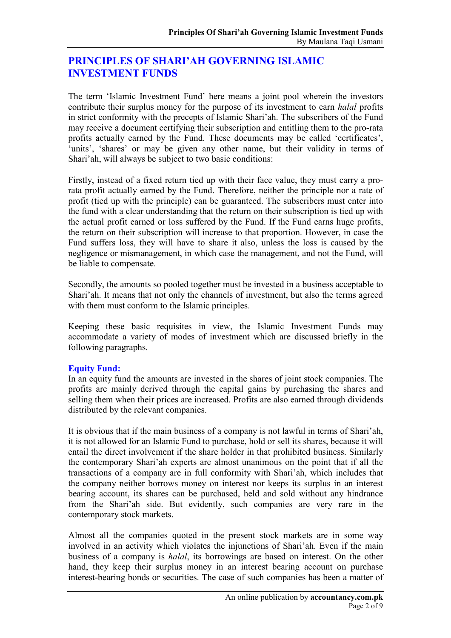# **PRINCIPLES OF SHARI'AH GOVERNING ISLAMIC INVESTMENT FUNDS**

The term 'Islamic Investment Fund' here means a joint pool wherein the investors contribute their surplus money for the purpose of its investment to earn *halal* profits in strict conformity with the precepts of Islamic Shari'ah. The subscribers of the Fund may receive a document certifying their subscription and entitling them to the pro-rata profits actually earned by the Fund. These documents may be called 'certificates', 'units', 'shares' or may be given any other name, but their validity in terms of Shari'ah, will always be subject to two basic conditions:

Firstly, instead of a fixed return tied up with their face value, they must carry a prorata profit actually earned by the Fund. Therefore, neither the principle nor a rate of profit (tied up with the principle) can be guaranteed. The subscribers must enter into the fund with a clear understanding that the return on their subscription is tied up with the actual profit earned or loss suffered by the Fund. If the Fund earns huge profits, the return on their subscription will increase to that proportion. However, in case the Fund suffers loss, they will have to share it also, unless the loss is caused by the negligence or mismanagement, in which case the management, and not the Fund, will be liable to compensate.

Secondly, the amounts so pooled together must be invested in a business acceptable to Shari'ah. It means that not only the channels of investment, but also the terms agreed with them must conform to the Islamic principles.

Keeping these basic requisites in view, the Islamic Investment Funds may accommodate a variety of modes of investment which are discussed briefly in the following paragraphs.

## **Equity Fund:**

In an equity fund the amounts are invested in the shares of joint stock companies. The profits are mainly derived through the capital gains by purchasing the shares and selling them when their prices are increased. Profits are also earned through dividends distributed by the relevant companies.

It is obvious that if the main business of a company is not lawful in terms of Shari'ah, it is not allowed for an Islamic Fund to purchase, hold or sell its shares, because it will entail the direct involvement if the share holder in that prohibited business. Similarly the contemporary Shari'ah experts are almost unanimous on the point that if all the transactions of a company are in full conformity with Shari'ah, which includes that the company neither borrows money on interest nor keeps its surplus in an interest bearing account, its shares can be purchased, held and sold without any hindrance from the Shari'ah side. But evidently, such companies are very rare in the contemporary stock markets.

Almost all the companies quoted in the present stock markets are in some way involved in an activity which violates the injunctions of Shari'ah. Even if the main business of a company is *halal*, its borrowings are based on interest. On the other hand, they keep their surplus money in an interest bearing account on purchase interest-bearing bonds or securities. The case of such companies has been a matter of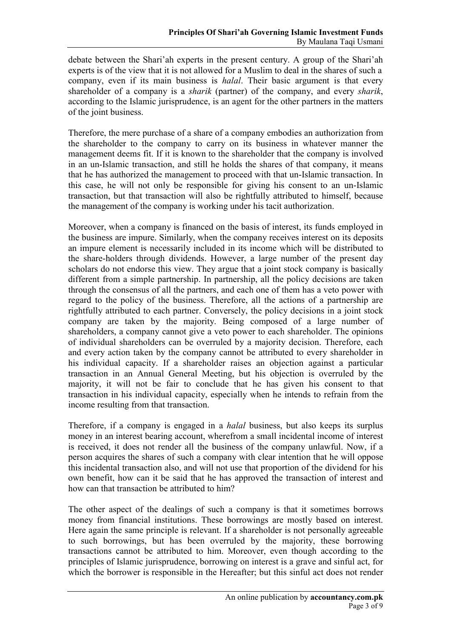debate between the Shari'ah experts in the present century. A group of the Shari'ah experts is of the view that it is not allowed for a Muslim to deal in the shares of such a company, even if its main business is *halal*. Their basic argument is that every shareholder of a company is a *sharik* (partner) of the company, and every *sharik*, according to the Islamic jurisprudence, is an agent for the other partners in the matters of the joint business.

Therefore, the mere purchase of a share of a company embodies an authorization from the shareholder to the company to carry on its business in whatever manner the management deems fit. If it is known to the shareholder that the company is involved in an un-Islamic transaction, and still he holds the shares of that company, it means that he has authorized the management to proceed with that un-Islamic transaction. In this case, he will not only be responsible for giving his consent to an un-Islamic transaction, but that transaction will also be rightfully attributed to himself, because the management of the company is working under his tacit authorization.

Moreover, when a company is financed on the basis of interest, its funds employed in the business are impure. Similarly, when the company receives interest on its deposits an impure element is necessarily included in its income which will be distributed to the share-holders through dividends. However, a large number of the present day scholars do not endorse this view. They argue that a joint stock company is basically different from a simple partnership. In partnership, all the policy decisions are taken through the consensus of all the partners, and each one of them has a veto power with regard to the policy of the business. Therefore, all the actions of a partnership are rightfully attributed to each partner. Conversely, the policy decisions in a joint stock company are taken by the majority. Being composed of a large number of shareholders, a company cannot give a veto power to each shareholder. The opinions of individual shareholders can be overruled by a majority decision. Therefore, each and every action taken by the company cannot be attributed to every shareholder in his individual capacity. If a shareholder raises an objection against a particular transaction in an Annual General Meeting, but his objection is overruled by the majority, it will not be fair to conclude that he has given his consent to that transaction in his individual capacity, especially when he intends to refrain from the income resulting from that transaction.

Therefore, if a company is engaged in a *halal* business, but also keeps its surplus money in an interest bearing account, wherefrom a small incidental income of interest is received, it does not render all the business of the company unlawful. Now, if a person acquires the shares of such a company with clear intention that he will oppose this incidental transaction also, and will not use that proportion of the dividend for his own benefit, how can it be said that he has approved the transaction of interest and how can that transaction be attributed to him?

The other aspect of the dealings of such a company is that it sometimes borrows money from financial institutions. These borrowings are mostly based on interest. Here again the same principle is relevant. If a shareholder is not personally agreeable to such borrowings, but has been overruled by the majority, these borrowing transactions cannot be attributed to him. Moreover, even though according to the principles of Islamic jurisprudence, borrowing on interest is a grave and sinful act, for which the borrower is responsible in the Hereafter; but this sinful act does not render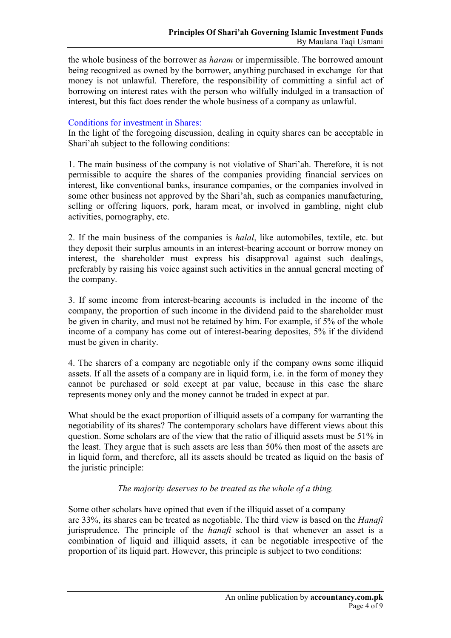the whole business of the borrower as *haram* or impermissible. The borrowed amount being recognized as owned by the borrower, anything purchased in exchange for that money is not unlawful. Therefore, the responsibility of committing a sinful act of borrowing on interest rates with the person who wilfully indulged in a transaction of interest, but this fact does render the whole business of a company as unlawful.

#### Conditions for investment in Shares:

In the light of the foregoing discussion, dealing in equity shares can be acceptable in Shari'ah subject to the following conditions:

1. The main business of the company is not violative of Shari'ah. Therefore, it is not permissible to acquire the shares of the companies providing financial services on interest, like conventional banks, insurance companies, or the companies involved in some other business not approved by the Shari'ah, such as companies manufacturing, selling or offering liquors, pork, haram meat, or involved in gambling, night club activities, pornography, etc.

2. If the main business of the companies is *halal*, like automobiles, textile, etc. but they deposit their surplus amounts in an interest-bearing account or borrow money on interest, the shareholder must express his disapproval against such dealings, preferably by raising his voice against such activities in the annual general meeting of the company.

3. If some income from interest-bearing accounts is included in the income of the company, the proportion of such income in the dividend paid to the shareholder must be given in charity, and must not be retained by him. For example, if 5% of the whole income of a company has come out of interest-bearing deposites, 5% if the dividend must be given in charity.

4. The sharers of a company are negotiable only if the company owns some illiquid assets. If all the assets of a company are in liquid form, i.e. in the form of money they cannot be purchased or sold except at par value, because in this case the share represents money only and the money cannot be traded in expect at par.

What should be the exact proportion of illiquid assets of a company for warranting the negotiability of its shares? The contemporary scholars have different views about this question. Some scholars are of the view that the ratio of illiquid assets must be 51% in the least. They argue that is such assets are less than 50% then most of the assets are in liquid form, and therefore, all its assets should be treated as liquid on the basis of the juristic principle:

## *The majority deserves to be treated as the whole of a thing.*

Some other scholars have opined that even if the illiquid asset of a company are 33%, its shares can be treated as negotiable. The third view is based on the *Hanafi*  jurisprudence. The principle of the *hanafi* school is that whenever an asset is a combination of liquid and illiquid assets, it can be negotiable irrespective of the proportion of its liquid part. However, this principle is subject to two conditions: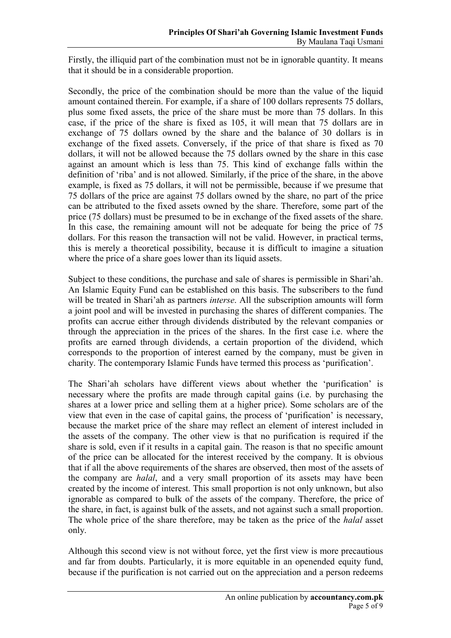Firstly, the illiquid part of the combination must not be in ignorable quantity. It means that it should be in a considerable proportion.

Secondly, the price of the combination should be more than the value of the liquid amount contained therein. For example, if a share of 100 dollars represents 75 dollars, plus some fixed assets, the price of the share must be more than 75 dollars. In this case, if the price of the share is fixed as 105, it will mean that 75 dollars are in exchange of 75 dollars owned by the share and the balance of 30 dollars is in exchange of the fixed assets. Conversely, if the price of that share is fixed as 70 dollars, it will not be allowed because the 75 dollars owned by the share in this case against an amount which is less than 75. This kind of exchange falls within the definition of 'riba' and is not allowed. Similarly, if the price of the share, in the above example, is fixed as 75 dollars, it will not be permissible, because if we presume that 75 dollars of the price are against 75 dollars owned by the share, no part of the price can be attributed to the fixed assets owned by the share. Therefore, some part of the price (75 dollars) must be presumed to be in exchange of the fixed assets of the share. In this case, the remaining amount will not be adequate for being the price of 75 dollars. For this reason the transaction will not be valid. However, in practical terms, this is merely a theoretical possibility, because it is difficult to imagine a situation where the price of a share goes lower than its liquid assets.

Subject to these conditions, the purchase and sale of shares is permissible in Shari'ah. An Islamic Equity Fund can be established on this basis. The subscribers to the fund will be treated in Shari'ah as partners *interse*. All the subscription amounts will form a joint pool and will be invested in purchasing the shares of different companies. The profits can accrue either through dividends distributed by the relevant companies or through the appreciation in the prices of the shares. In the first case i.e. where the profits are earned through dividends, a certain proportion of the dividend, which corresponds to the proportion of interest earned by the company, must be given in charity. The contemporary Islamic Funds have termed this process as 'purification'.

The Shari'ah scholars have different views about whether the 'purification' is necessary where the profits are made through capital gains (i.e. by purchasing the shares at a lower price and selling them at a higher price). Some scholars are of the view that even in the case of capital gains, the process of 'purification' is necessary, because the market price of the share may reflect an element of interest included in the assets of the company. The other view is that no purification is required if the share is sold, even if it results in a capital gain. The reason is that no specific amount of the price can be allocated for the interest received by the company. It is obvious that if all the above requirements of the shares are observed, then most of the assets of the company are *halal*, and a very small proportion of its assets may have been created by the income of interest. This small proportion is not only unknown, but also ignorable as compared to bulk of the assets of the company. Therefore, the price of the share, in fact, is against bulk of the assets, and not against such a small proportion. The whole price of the share therefore, may be taken as the price of the *halal* asset only.

Although this second view is not without force, yet the first view is more precautious and far from doubts. Particularly, it is more equitable in an openended equity fund, because if the purification is not carried out on the appreciation and a person redeems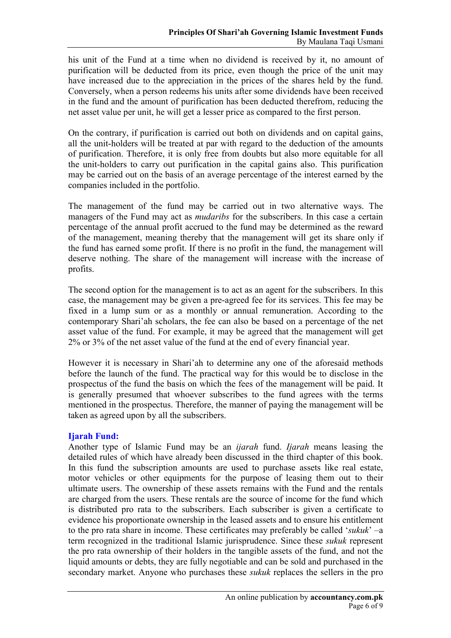his unit of the Fund at a time when no dividend is received by it, no amount of purification will be deducted from its price, even though the price of the unit may have increased due to the appreciation in the prices of the shares held by the fund. Conversely, when a person redeems his units after some dividends have been received in the fund and the amount of purification has been deducted therefrom, reducing the net asset value per unit, he will get a lesser price as compared to the first person.

On the contrary, if purification is carried out both on dividends and on capital gains, all the unit-holders will be treated at par with regard to the deduction of the amounts of purification. Therefore, it is only free from doubts but also more equitable for all the unit-holders to carry out purification in the capital gains also. This purification may be carried out on the basis of an average percentage of the interest earned by the companies included in the portfolio.

The management of the fund may be carried out in two alternative ways. The managers of the Fund may act as *mudaribs* for the subscribers. In this case a certain percentage of the annual profit accrued to the fund may be determined as the reward of the management, meaning thereby that the management will get its share only if the fund has earned some profit. If there is no profit in the fund, the management will deserve nothing. The share of the management will increase with the increase of profits.

The second option for the management is to act as an agent for the subscribers. In this case, the management may be given a pre-agreed fee for its services. This fee may be fixed in a lump sum or as a monthly or annual remuneration. According to the contemporary Shari'ah scholars, the fee can also be based on a percentage of the net asset value of the fund. For example, it may be agreed that the management will get 2% or 3% of the net asset value of the fund at the end of every financial year.

However it is necessary in Shari'ah to determine any one of the aforesaid methods before the launch of the fund. The practical way for this would be to disclose in the prospectus of the fund the basis on which the fees of the management will be paid. It is generally presumed that whoever subscribes to the fund agrees with the terms mentioned in the prospectus. Therefore, the manner of paying the management will be taken as agreed upon by all the subscribers.

## **Ijarah Fund:**

Another type of Islamic Fund may be an *ijarah* fund. *Ijarah* means leasing the detailed rules of which have already been discussed in the third chapter of this book. In this fund the subscription amounts are used to purchase assets like real estate, motor vehicles or other equipments for the purpose of leasing them out to their ultimate users. The ownership of these assets remains with the Fund and the rentals are charged from the users. These rentals are the source of income for the fund which is distributed pro rata to the subscribers. Each subscriber is given a certificate to evidence his proportionate ownership in the leased assets and to ensure his entitlement to the pro rata share in income. These certificates may preferably be called '*sukuk*' –a term recognized in the traditional Islamic jurisprudence. Since these *sukuk* represent the pro rata ownership of their holders in the tangible assets of the fund, and not the liquid amounts or debts, they are fully negotiable and can be sold and purchased in the secondary market. Anyone who purchases these *sukuk* replaces the sellers in the pro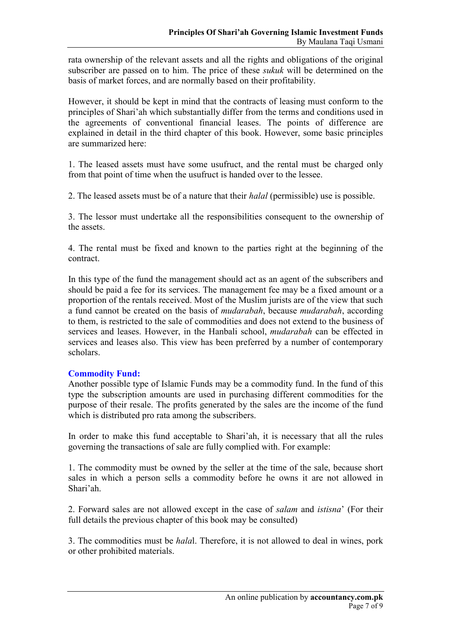rata ownership of the relevant assets and all the rights and obligations of the original subscriber are passed on to him. The price of these *sukuk* will be determined on the basis of market forces, and are normally based on their profitability.

However, it should be kept in mind that the contracts of leasing must conform to the principles of Shari'ah which substantially differ from the terms and conditions used in the agreements of conventional financial leases. The points of difference are explained in detail in the third chapter of this book. However, some basic principles are summarized here:

1. The leased assets must have some usufruct, and the rental must be charged only from that point of time when the usufruct is handed over to the lessee.

2. The leased assets must be of a nature that their *halal* (permissible) use is possible.

3. The lessor must undertake all the responsibilities consequent to the ownership of the assets.

4. The rental must be fixed and known to the parties right at the beginning of the contract.

In this type of the fund the management should act as an agent of the subscribers and should be paid a fee for its services. The management fee may be a fixed amount or a proportion of the rentals received. Most of the Muslim jurists are of the view that such a fund cannot be created on the basis of *mudarabah*, because *mudarabah*, according to them, is restricted to the sale of commodities and does not extend to the business of services and leases. However, in the Hanbali school, *mudarabah* can be effected in services and leases also. This view has been preferred by a number of contemporary scholars.

## **Commodity Fund:**

Another possible type of Islamic Funds may be a commodity fund. In the fund of this type the subscription amounts are used in purchasing different commodities for the purpose of their resale. The profits generated by the sales are the income of the fund which is distributed pro rata among the subscribers.

In order to make this fund acceptable to Shari'ah, it is necessary that all the rules governing the transactions of sale are fully complied with. For example:

1. The commodity must be owned by the seller at the time of the sale, because short sales in which a person sells a commodity before he owns it are not allowed in Shari'ah.

2. Forward sales are not allowed except in the case of *salam* and *istisna*' (For their full details the previous chapter of this book may be consulted)

3. The commodities must be *hala*l. Therefore, it is not allowed to deal in wines, pork or other prohibited materials.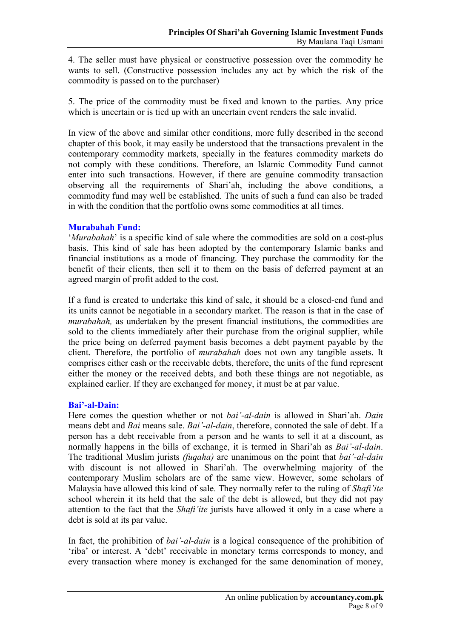4. The seller must have physical or constructive possession over the commodity he wants to sell. (Constructive possession includes any act by which the risk of the commodity is passed on to the purchaser)

5. The price of the commodity must be fixed and known to the parties. Any price which is uncertain or is tied up with an uncertain event renders the sale invalid.

In view of the above and similar other conditions, more fully described in the second chapter of this book, it may easily be understood that the transactions prevalent in the contemporary commodity markets, specially in the features commodity markets do not comply with these conditions. Therefore, an Islamic Commodity Fund cannot enter into such transactions. However, if there are genuine commodity transaction observing all the requirements of Shari'ah, including the above conditions, a commodity fund may well be established. The units of such a fund can also be traded in with the condition that the portfolio owns some commodities at all times.

## **Murabahah Fund:**

'*Murabahah*' is a specific kind of sale where the commodities are sold on a cost-plus basis. This kind of sale has been adopted by the contemporary Islamic banks and financial institutions as a mode of financing. They purchase the commodity for the benefit of their clients, then sell it to them on the basis of deferred payment at an agreed margin of profit added to the cost.

If a fund is created to undertake this kind of sale, it should be a closed-end fund and its units cannot be negotiable in a secondary market. The reason is that in the case of *murabahah,* as undertaken by the present financial institutions, the commodities are sold to the clients immediately after their purchase from the original supplier, while the price being on deferred payment basis becomes a debt payment payable by the client. Therefore, the portfolio of *murabahah* does not own any tangible assets. It comprises either cash or the receivable debts, therefore, the units of the fund represent either the money or the received debts, and both these things are not negotiable, as explained earlier. If they are exchanged for money, it must be at par value.

## **Bai'-al-Dain:**

Here comes the question whether or not *bai'-al-dain* is allowed in Shari'ah. *Dain*  means debt and *Bai* means sale. *Bai'-al-dain*, therefore, connoted the sale of debt. If a person has a debt receivable from a person and he wants to sell it at a discount, as normally happens in the bills of exchange, it is termed in Shari'ah as *Bai'-al-dain*. The traditional Muslim jurists *(fuqaha)* are unanimous on the point that *bai'-al-dain*  with discount is not allowed in Shari'ah. The overwhelming majority of the contemporary Muslim scholars are of the same view. However, some scholars of Malaysia have allowed this kind of sale. They normally refer to the ruling of *Shafi'ite*  school wherein it its held that the sale of the debt is allowed, but they did not pay attention to the fact that the *Shafi'ite* jurists have allowed it only in a case where a debt is sold at its par value.

In fact, the prohibition of *bai'-al-dain* is a logical consequence of the prohibition of 'riba' or interest. A 'debt' receivable in monetary terms corresponds to money, and every transaction where money is exchanged for the same denomination of money,